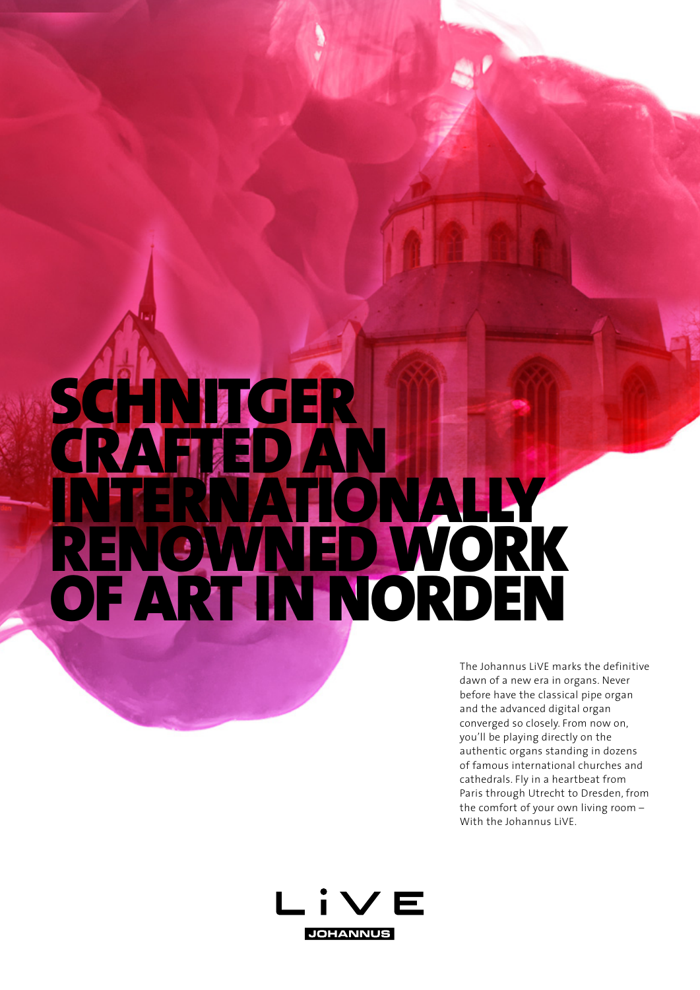# SCHNITGER CRAFTED AN NATIONALLY RENOWNED WORK OF ART IN NORDEN

The Johannus LiVE marks the definitive dawn of a new era in organs. Never before have the classical pipe organ and the advanced digital organ converged so closely. From now on, you'll be playing directly on the authentic organs standing in dozens of famous international churches and cathedrals. Fly in a heartbeat from Paris through Utrecht to Dresden, from the comfort of your own living room – With the Johannus LiVE.